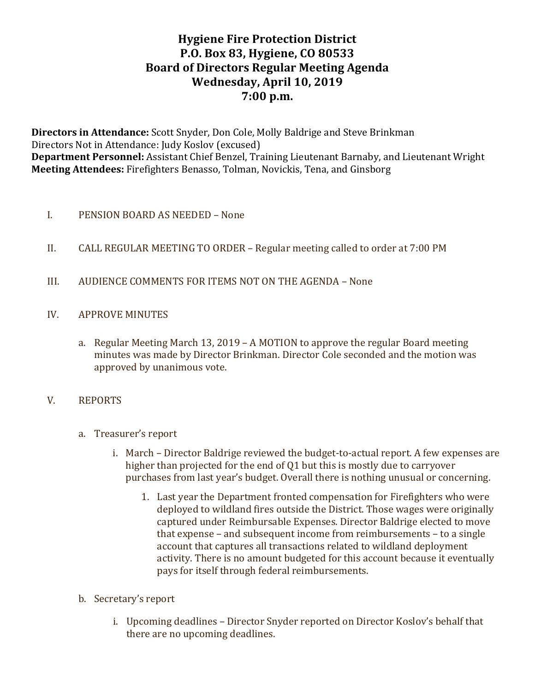# **Hygiene Fire Protection District P.O. Box 83, Hygiene, CO 80533 Board of Directors Regular Meeting Agenda** Wednesday, April 10, 2019 **7:00 p.m.**

**Directors in Attendance:** Scott Snyder, Don Cole, Molly Baldrige and Steve Brinkman Directors Not in Attendance: Judy Koslov (excused) Department Personnel: Assistant Chief Benzel, Training Lieutenant Barnaby, and Lieutenant Wright **Meeting Attendees:** Firefighters Benasso, Tolman, Novickis, Tena, and Ginsborg

## I. PENSION BOARD AS NEEDED – None

- II. CALL REGULAR MEETING TO ORDER Regular meeting called to order at 7:00 PM
- III. AUDIENCE COMMENTS FOR ITEMS NOT ON THE AGENDA None
- IV. APPROVE MINUTES
	- a. Regular Meeting March 13, 2019 A MOTION to approve the regular Board meeting minutes was made by Director Brinkman. Director Cole seconded and the motion was approved by unanimous vote.

### V. REPORTS

- a. Treasurer's report
	- i. March Director Baldrige reviewed the budget-to-actual report. A few expenses are higher than projected for the end of  $Q1$  but this is mostly due to carryover purchases from last year's budget. Overall there is nothing unusual or concerning.
		- 1. Last year the Department fronted compensation for Firefighters who were deployed to wildland fires outside the District. Those wages were originally captured under Reimbursable Expenses. Director Baldrige elected to move that expense  $-$  and subsequent income from reimbursements  $-$  to a single account that captures all transactions related to wildland deployment activity. There is no amount budgeted for this account because it eventually pays for itself through federal reimbursements.
- b. Secretary's report
	- i. Upcoming deadlines Director Snyder reported on Director Koslov's behalf that there are no upcoming deadlines.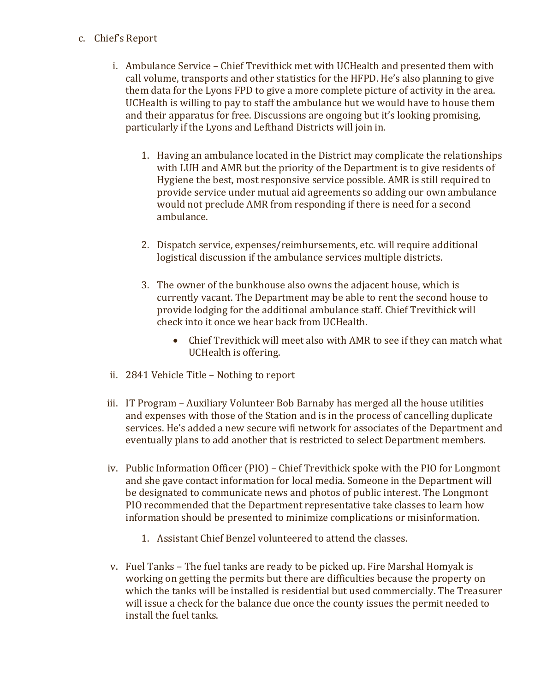#### c. Chief's Report

- i. Ambulance Service Chief Trevithick met with UCHealth and presented them with call volume, transports and other statistics for the HFPD. He's also planning to give them data for the Lyons FPD to give a more complete picture of activity in the area. UCHealth is willing to pay to staff the ambulance but we would have to house them and their apparatus for free. Discussions are ongoing but it's looking promising, particularly if the Lyons and Lefthand Districts will join in.
	- 1. Having an ambulance located in the District may complicate the relationships with LUH and AMR but the priority of the Department is to give residents of Hygiene the best, most responsive service possible. AMR is still required to provide service under mutual aid agreements so adding our own ambulance would not preclude AMR from responding if there is need for a second ambulance.
	- 2. Dispatch service, expenses/reimbursements, etc. will require additional logistical discussion if the ambulance services multiple districts.
	- 3. The owner of the bunkhouse also owns the adjacent house, which is currently vacant. The Department may be able to rent the second house to provide lodging for the additional ambulance staff. Chief Trevithick will check into it once we hear back from UCHealth.
		- Chief Trevithick will meet also with AMR to see if they can match what UCHealth is offering.
- ii. 2841 Vehicle Title Nothing to report
- iii. IT Program Auxiliary Volunteer Bob Barnaby has merged all the house utilities and expenses with those of the Station and is in the process of cancelling duplicate services. He's added a new secure wifi network for associates of the Department and eventually plans to add another that is restricted to select Department members.
- iv. Public Information Officer (PIO) Chief Trevithick spoke with the PIO for Longmont and she gave contact information for local media. Someone in the Department will be designated to communicate news and photos of public interest. The Longmont PIO recommended that the Department representative take classes to learn how information should be presented to minimize complications or misinformation.
	- 1. Assistant Chief Benzel volunteered to attend the classes.
- v. Fuel Tanks The fuel tanks are ready to be picked up. Fire Marshal Homyak is working on getting the permits but there are difficulties because the property on which the tanks will be installed is residential but used commercially. The Treasurer will issue a check for the balance due once the county issues the permit needed to install the fuel tanks.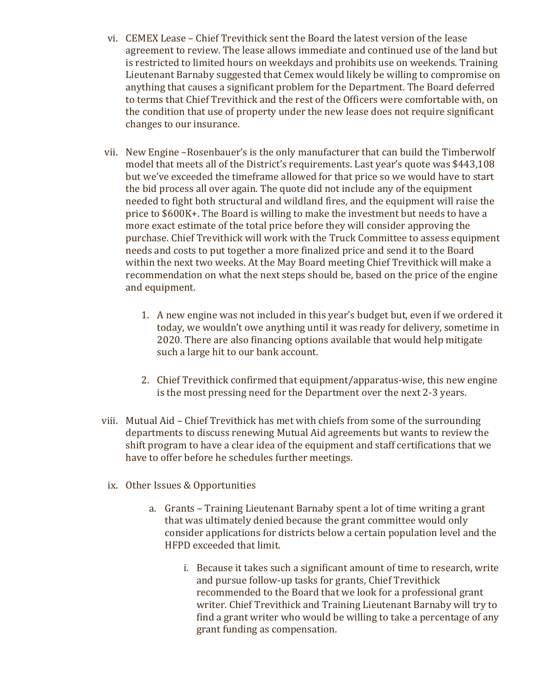- vi. CEMEX Lease Chief Trevithick sent the Board the latest version of the lease agreement to review. The lease allows immediate and continued use of the land but is restricted to limited hours on weekdays and prohibits use on weekends. Training Lieutenant Barnaby suggested that Cemex would likely be willing to compromise on anything that causes a significant problem for the Department. The Board deferred to terms that Chief Trevithick and the rest of the Officers were comfortable with, on the condition that use of property under the new lease does not require significant changes to our insurance.
- vii. New Engine -Rosenbauer's is the only manufacturer that can build the Timberwolf model that meets all of the District's requirements. Last year's quote was \$443,108 but we've exceeded the timeframe allowed for that price so we would have to start the bid process all over again. The quote did not include any of the equipment needed to fight both structural and wildland fires, and the equipment will raise the price to \$600K+. The Board is willing to make the investment but needs to have a more exact estimate of the total price before they will consider approving the purchase. Chief Trevithick will work with the Truck Committee to assess equipment needs and costs to put together a more finalized price and send it to the Board within the next two weeks. At the May Board meeting Chief Trevithick will make a recommendation on what the next steps should be, based on the price of the engine and equipment.
	- 1. A new engine was not included in this year's budget but, even if we ordered it today, we wouldn't owe anything until it was ready for delivery, sometime in 2020. There are also financing options available that would help mitigate such a large hit to our bank account.
	- 2. Chief Trevithick confirmed that equipment/apparatus-wise, this new engine is the most pressing need for the Department over the next 2-3 years.
- viii. Mutual Aid Chief Trevithick has met with chiefs from some of the surrounding departments to discuss renewing Mutual Aid agreements but wants to review the shift program to have a clear idea of the equipment and staff certifications that we have to offer before he schedules further meetings.
	- ix. Other Issues & Opportunities
		- a. Grants Training Lieutenant Barnaby spent a lot of time writing a grant that was ultimately denied because the grant committee would only consider applications for districts below a certain population level and the HFPD exceeded that limit.
			- i. Because it takes such a significant amount of time to research, write and pursue follow-up tasks for grants, Chief Trevithick recommended to the Board that we look for a professional grant writer. Chief Trevithick and Training Lieutenant Barnaby will try to find a grant writer who would be willing to take a percentage of any grant funding as compensation.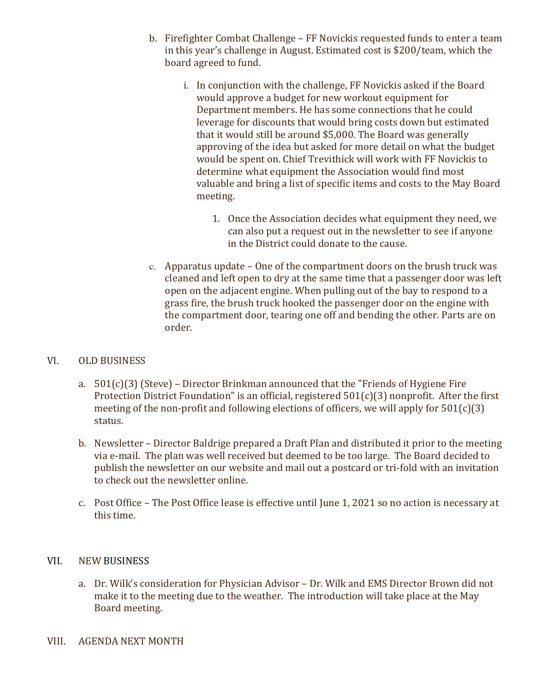- b. Firefighter Combat Challenge FF Novickis requested funds to enter a team in this year's challenge in August. Estimated cost is \$200/team, which the board agreed to fund.
	- i. In conjunction with the challenge, FF Novickis asked if the Board would approve a budget for new workout equipment for Department members. He has some connections that he could leverage for discounts that would bring costs down but estimated that it would still be around \$5,000. The Board was generally approving of the idea but asked for more detail on what the budget would be spent on. Chief Trevithick will work with FF Novickis to determine what equipment the Association would find most valuable and bring a list of specific items and costs to the May Board meeting.
		- 1. Once the Association decides what equipment they need, we can also put a request out in the newsletter to see if anyone in the District could donate to the cause.
- c. Apparatus update  $-$  One of the compartment doors on the brush truck was cleaned and left open to dry at the same time that a passenger door was left open on the adjacent engine. When pulling out of the bay to respond to a grass fire, the brush truck hooked the passenger door on the engine with the compartment door, tearing one off and bending the other. Parts are on order.

### VI. OLD BUSINESS

- a.  $501(c)(3)$  (Steve) Director Brinkman announced that the "Friends of Hygiene Fire Protection District Foundation" is an official, registered  $501(c)(3)$  nonprofit. After the first meeting of the non-profit and following elections of officers, we will apply for  $501(c)(3)$ status.
- b. Newsletter Director Baldrige prepared a Draft Plan and distributed it prior to the meeting via e-mail. The plan was well received but deemed to be too large. The Board decided to publish the newsletter on our website and mail out a postcard or tri-fold with an invitation to check out the newsletter online.
- c. Post Office The Post Office lease is effective until June 1, 2021 so no action is necessary at this time.

### VII. NEW BUSINESS

- a. Dr. Wilk's consideration for Physician Advisor Dr. Wilk and EMS Director Brown did not make it to the meeting due to the weather. The introduction will take place at the May Board meeting.
- VIII. AGENDA NEXT MONTH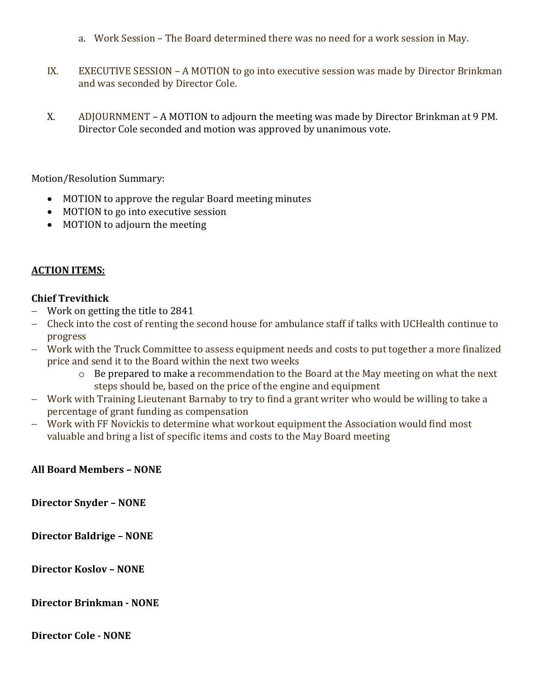- a. Work Session The Board determined there was no need for a work session in May.
- IX. EXECUTIVE SESSION A MOTION to go into executive session was made by Director Brinkman and was seconded by Director Cole.
- X. ADJOURNMENT A MOTION to adjourn the meeting was made by Director Brinkman at 9 PM. Director Cole seconded and motion was approved by unanimous vote.

Motion/Resolution Summary:

- MOTION to approve the regular Board meeting minutes
- MOTION to go into executive session
- MOTION to adjourn the meeting

#### **ACTION ITEMS:**

## **Chief Trevithick**

- Work on getting the title to 2841
- Check into the cost of renting the second house for ambulance staff if talks with UCHealth continue to progress
- Work with the Truck Committee to assess equipment needs and costs to put together a more finalized price and send it to the Board within the next two weeks
	- o Be prepared to make a recommendation to the Board at the May meeting on what the next steps should be, based on the price of the engine and equipment
- Work with Training Lieutenant Barnaby to try to find a grant writer who would be willing to take a percentage of grant funding as compensation
- Work with FF Novickis to determine what workout equipment the Association would find most valuable and bring a list of specific items and costs to the May Board meeting

### **All Board Members – NONE**

**Director Snyder – NONE** 

**Director Baldrige – NONE** 

**Director Koslov – NONE** 

**Director Brinkman - NONE**

**Director Cole - NONE**